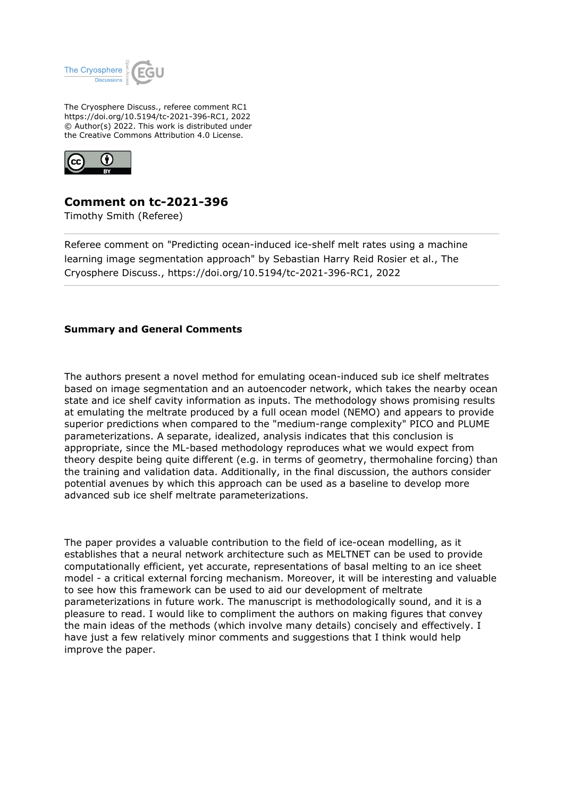

The Cryosphere Discuss., referee comment RC1 https://doi.org/10.5194/tc-2021-396-RC1, 2022 © Author(s) 2022. This work is distributed under the Creative Commons Attribution 4.0 License.



## **Comment on tc-2021-396**

Timothy Smith (Referee)

Referee comment on "Predicting ocean-induced ice-shelf melt rates using a machine learning image segmentation approach" by Sebastian Harry Reid Rosier et al., The Cryosphere Discuss., https://doi.org/10.5194/tc-2021-396-RC1, 2022

## **Summary and General Comments**

The authors present a novel method for emulating ocean-induced sub ice shelf meltrates based on image segmentation and an autoencoder network, which takes the nearby ocean state and ice shelf cavity information as inputs. The methodology shows promising results at emulating the meltrate produced by a full ocean model (NEMO) and appears to provide superior predictions when compared to the "medium-range complexity" PICO and PLUME parameterizations. A separate, idealized, analysis indicates that this conclusion is appropriate, since the ML-based methodology reproduces what we would expect from theory despite being quite different (e.g. in terms of geometry, thermohaline forcing) than the training and validation data. Additionally, in the final discussion, the authors consider potential avenues by which this approach can be used as a baseline to develop more advanced sub ice shelf meltrate parameterizations.

The paper provides a valuable contribution to the field of ice-ocean modelling, as it establishes that a neural network architecture such as MELTNET can be used to provide computationally efficient, yet accurate, representations of basal melting to an ice sheet model - a critical external forcing mechanism. Moreover, it will be interesting and valuable to see how this framework can be used to aid our development of meltrate parameterizations in future work. The manuscript is methodologically sound, and it is a pleasure to read. I would like to compliment the authors on making figures that convey the main ideas of the methods (which involve many details) concisely and effectively. I have just a few relatively minor comments and suggestions that I think would help improve the paper.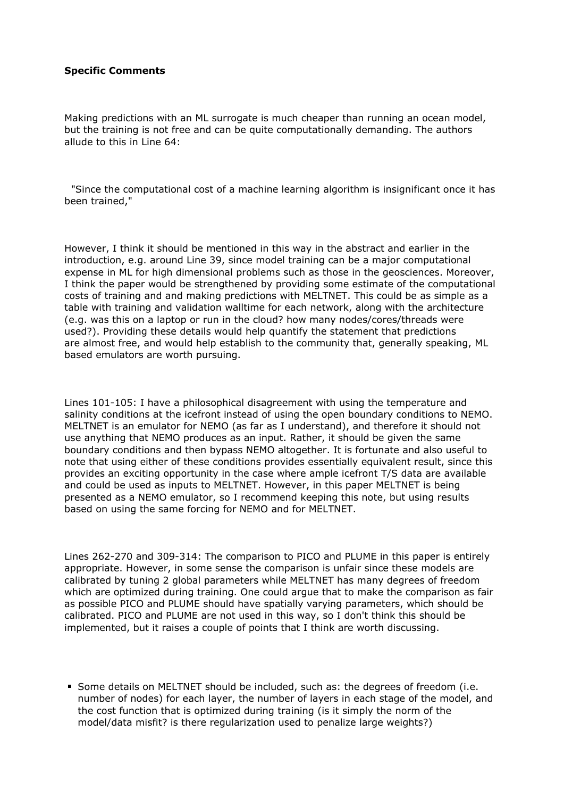## **Specific Comments**

Making predictions with an ML surrogate is much cheaper than running an ocean model, but the training is not free and can be quite computationally demanding. The authors allude to this in Line 64:

 "Since the computational cost of a machine learning algorithm is insignificant once it has been trained,"

However, I think it should be mentioned in this way in the abstract and earlier in the introduction, e.g. around Line 39, since model training can be a major computational expense in ML for high dimensional problems such as those in the geosciences. Moreover, I think the paper would be strengthened by providing some estimate of the computational costs of training and and making predictions with MELTNET. This could be as simple as a table with training and validation walltime for each network, along with the architecture (e.g. was this on a laptop or run in the cloud? how many nodes/cores/threads were used?). Providing these details would help quantify the statement that predictions are almost free, and would help establish to the community that, generally speaking, ML based emulators are worth pursuing.

Lines 101-105: I have a philosophical disagreement with using the temperature and salinity conditions at the icefront instead of using the open boundary conditions to NEMO. MELTNET is an emulator for NEMO (as far as I understand), and therefore it should not use anything that NEMO produces as an input. Rather, it should be given the same boundary conditions and then bypass NEMO altogether. It is fortunate and also useful to note that using either of these conditions provides essentially equivalent result, since this provides an exciting opportunity in the case where ample icefront T/S data are available and could be used as inputs to MELTNET. However, in this paper MELTNET is being presented as a NEMO emulator, so I recommend keeping this note, but using results based on using the same forcing for NEMO and for MELTNET.

Lines 262-270 and 309-314: The comparison to PICO and PLUME in this paper is entirely appropriate. However, in some sense the comparison is unfair since these models are calibrated by tuning 2 global parameters while MELTNET has many degrees of freedom which are optimized during training. One could argue that to make the comparison as fair as possible PICO and PLUME should have spatially varying parameters, which should be calibrated. PICO and PLUME are not used in this way, so I don't think this should be implemented, but it raises a couple of points that I think are worth discussing.

Some details on MELTNET should be included, such as: the degrees of freedom (i.e. number of nodes) for each layer, the number of layers in each stage of the model, and the cost function that is optimized during training (is it simply the norm of the model/data misfit? is there regularization used to penalize large weights?)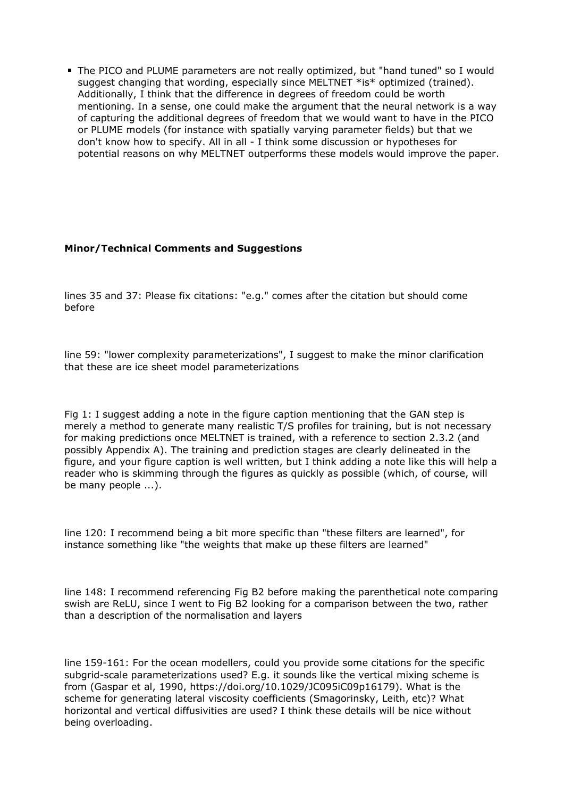The PICO and PLUME parameters are not really optimized, but "hand tuned" so I would suggest changing that wording, especially since MELTNET \*is\* optimized (trained). Additionally, I think that the difference in degrees of freedom could be worth mentioning. In a sense, one could make the argument that the neural network is a way of capturing the additional degrees of freedom that we would want to have in the PICO or PLUME models (for instance with spatially varying parameter fields) but that we don't know how to specify. All in all - I think some discussion or hypotheses for potential reasons on why MELTNET outperforms these models would improve the paper.

## **Minor/Technical Comments and Suggestions**

lines 35 and 37: Please fix citations: "e.g." comes after the citation but should come before

line 59: "lower complexity parameterizations", I suggest to make the minor clarification that these are ice sheet model parameterizations

Fig 1: I suggest adding a note in the figure caption mentioning that the GAN step is merely a method to generate many realistic T/S profiles for training, but is not necessary for making predictions once MELTNET is trained, with a reference to section 2.3.2 (and possibly Appendix A). The training and prediction stages are clearly delineated in the figure, and your figure caption is well written, but I think adding a note like this will help a reader who is skimming through the figures as quickly as possible (which, of course, will be many people ...).

line 120: I recommend being a bit more specific than "these filters are learned", for instance something like "the weights that make up these filters are learned"

line 148: I recommend referencing Fig B2 before making the parenthetical note comparing swish are ReLU, since I went to Fig B2 looking for a comparison between the two, rather than a description of the normalisation and layers

line 159-161: For the ocean modellers, could you provide some citations for the specific subgrid-scale parameterizations used? E.g. it sounds like the vertical mixing scheme is from (Gaspar et al, 1990, https://doi.org/10.1029/JC095iC09p16179). What is the scheme for generating lateral viscosity coefficients (Smagorinsky, Leith, etc)? What horizontal and vertical diffusivities are used? I think these details will be nice without being overloading.